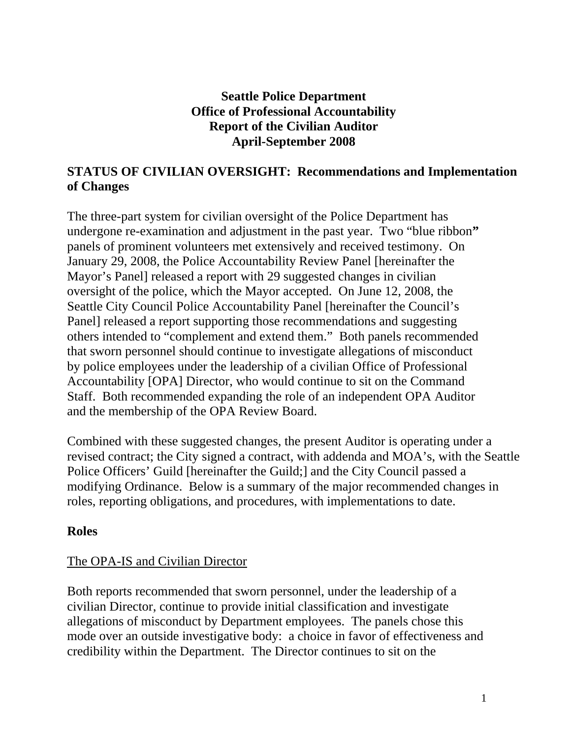## **Seattle Police Department Office of Professional Accountability Report of the Civilian Auditor April-September 2008**

# **STATUS OF CIVILIAN OVERSIGHT: Recommendations and Implementation of Changes**

The three-part system for civilian oversight of the Police Department has undergone re-examination and adjustment in the past year. Two "blue ribbon**"**  panels of prominent volunteers met extensively and received testimony. On January 29, 2008, the Police Accountability Review Panel [hereinafter the Mayor's Panel] released a report with 29 suggested changes in civilian oversight of the police, which the Mayor accepted. On June 12, 2008, the Seattle City Council Police Accountability Panel [hereinafter the Council's Panel] released a report supporting those recommendations and suggesting others intended to "complement and extend them." Both panels recommended that sworn personnel should continue to investigate allegations of misconduct by police employees under the leadership of a civilian Office of Professional Accountability [OPA] Director, who would continue to sit on the Command Staff. Both recommended expanding the role of an independent OPA Auditor and the membership of the OPA Review Board.

Combined with these suggested changes, the present Auditor is operating under a revised contract; the City signed a contract, with addenda and MOA's, with the Seattle Police Officers' Guild [hereinafter the Guild;] and the City Council passed a modifying Ordinance. Below is a summary of the major recommended changes in roles, reporting obligations, and procedures, with implementations to date.

#### **Roles**

#### The OPA-IS and Civilian Director

Both reports recommended that sworn personnel, under the leadership of a civilian Director, continue to provide initial classification and investigate allegations of misconduct by Department employees. The panels chose this mode over an outside investigative body: a choice in favor of effectiveness and credibility within the Department. The Director continues to sit on the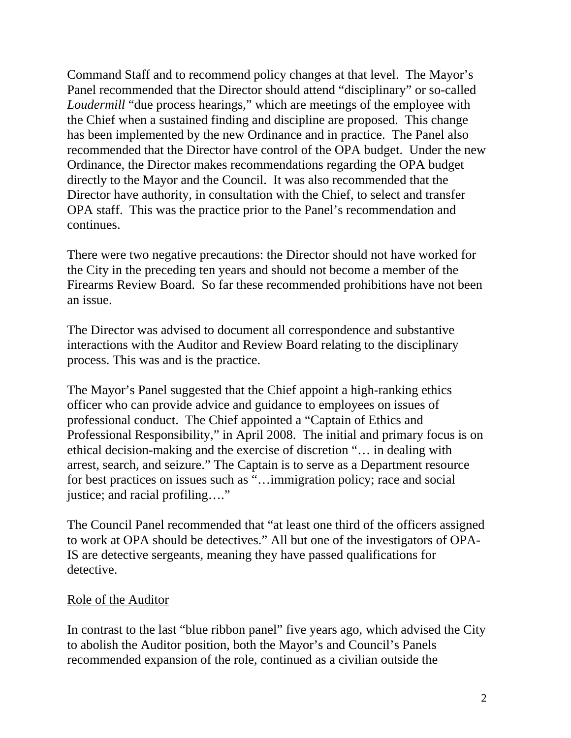Command Staff and to recommend policy changes at that level. The Mayor's Panel recommended that the Director should attend "disciplinary" or so-called *Loudermill* "due process hearings," which are meetings of the employee with the Chief when a sustained finding and discipline are proposed. This change has been implemented by the new Ordinance and in practice. The Panel also recommended that the Director have control of the OPA budget. Under the new Ordinance, the Director makes recommendations regarding the OPA budget directly to the Mayor and the Council. It was also recommended that the Director have authority, in consultation with the Chief, to select and transfer OPA staff. This was the practice prior to the Panel's recommendation and continues.

There were two negative precautions: the Director should not have worked for the City in the preceding ten years and should not become a member of the Firearms Review Board. So far these recommended prohibitions have not been an issue.

The Director was advised to document all correspondence and substantive interactions with the Auditor and Review Board relating to the disciplinary process. This was and is the practice.

The Mayor's Panel suggested that the Chief appoint a high-ranking ethics officer who can provide advice and guidance to employees on issues of professional conduct. The Chief appointed a "Captain of Ethics and Professional Responsibility," in April 2008. The initial and primary focus is on ethical decision-making and the exercise of discretion "… in dealing with arrest, search, and seizure." The Captain is to serve as a Department resource for best practices on issues such as "…immigration policy; race and social justice; and racial profiling…."

The Council Panel recommended that "at least one third of the officers assigned to work at OPA should be detectives." All but one of the investigators of OPA-IS are detective sergeants, meaning they have passed qualifications for detective.

#### Role of the Auditor

In contrast to the last "blue ribbon panel" five years ago, which advised the City to abolish the Auditor position, both the Mayor's and Council's Panels recommended expansion of the role, continued as a civilian outside the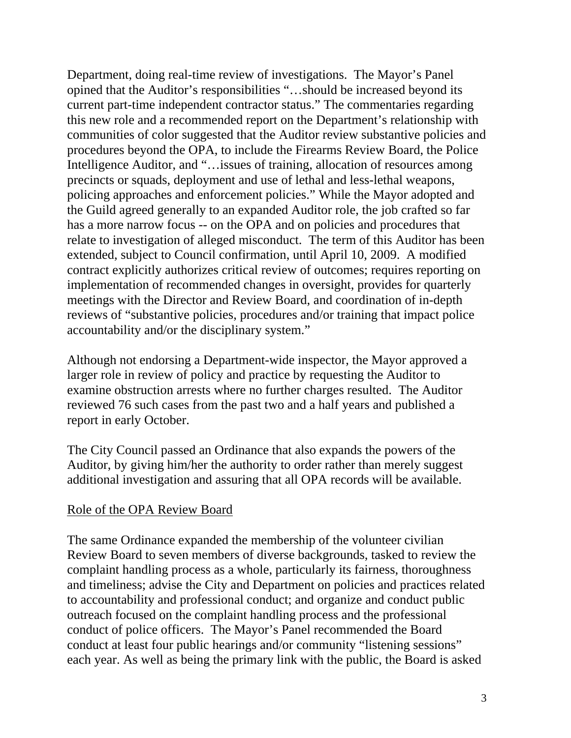Department, doing real-time review of investigations. The Mayor's Panel opined that the Auditor's responsibilities "…should be increased beyond its current part-time independent contractor status." The commentaries regarding this new role and a recommended report on the Department's relationship with communities of color suggested that the Auditor review substantive policies and procedures beyond the OPA, to include the Firearms Review Board, the Police Intelligence Auditor, and "…issues of training, allocation of resources among precincts or squads, deployment and use of lethal and less-lethal weapons, policing approaches and enforcement policies." While the Mayor adopted and the Guild agreed generally to an expanded Auditor role, the job crafted so far has a more narrow focus -- on the OPA and on policies and procedures that relate to investigation of alleged misconduct. The term of this Auditor has been extended, subject to Council confirmation, until April 10, 2009. A modified contract explicitly authorizes critical review of outcomes; requires reporting on implementation of recommended changes in oversight, provides for quarterly meetings with the Director and Review Board, and coordination of in-depth reviews of "substantive policies, procedures and/or training that impact police accountability and/or the disciplinary system."

Although not endorsing a Department-wide inspector, the Mayor approved a larger role in review of policy and practice by requesting the Auditor to examine obstruction arrests where no further charges resulted. The Auditor reviewed 76 such cases from the past two and a half years and published a report in early October.

The City Council passed an Ordinance that also expands the powers of the Auditor, by giving him/her the authority to order rather than merely suggest additional investigation and assuring that all OPA records will be available.

#### Role of the OPA Review Board

The same Ordinance expanded the membership of the volunteer civilian Review Board to seven members of diverse backgrounds, tasked to review the complaint handling process as a whole, particularly its fairness, thoroughness and timeliness; advise the City and Department on policies and practices related to accountability and professional conduct; and organize and conduct public outreach focused on the complaint handling process and the professional conduct of police officers. The Mayor's Panel recommended the Board conduct at least four public hearings and/or community "listening sessions" each year. As well as being the primary link with the public, the Board is asked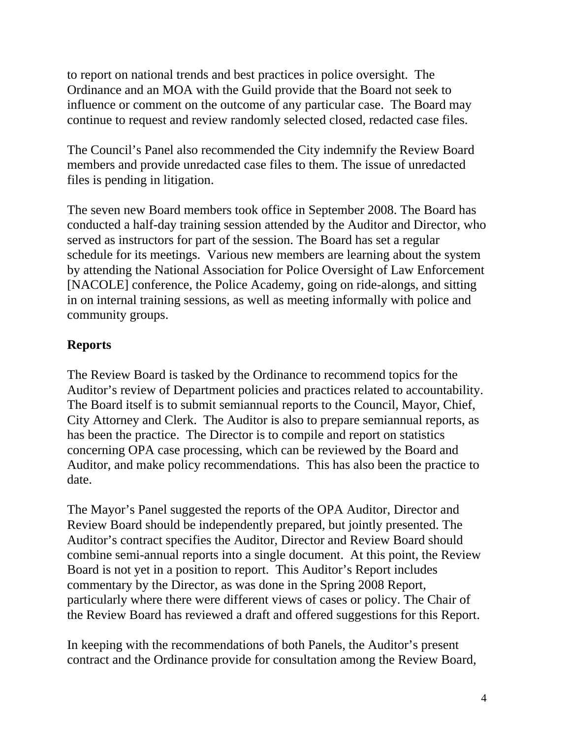to report on national trends and best practices in police oversight. The Ordinance and an MOA with the Guild provide that the Board not seek to influence or comment on the outcome of any particular case. The Board may continue to request and review randomly selected closed, redacted case files.

The Council's Panel also recommended the City indemnify the Review Board members and provide unredacted case files to them. The issue of unredacted files is pending in litigation.

The seven new Board members took office in September 2008. The Board has conducted a half-day training session attended by the Auditor and Director, who served as instructors for part of the session. The Board has set a regular schedule for its meetings. Various new members are learning about the system by attending the National Association for Police Oversight of Law Enforcement [NACOLE] conference, the Police Academy, going on ride-alongs, and sitting in on internal training sessions, as well as meeting informally with police and community groups.

# **Reports**

The Review Board is tasked by the Ordinance to recommend topics for the Auditor's review of Department policies and practices related to accountability. The Board itself is to submit semiannual reports to the Council, Mayor, Chief, City Attorney and Clerk. The Auditor is also to prepare semiannual reports, as has been the practice. The Director is to compile and report on statistics concerning OPA case processing, which can be reviewed by the Board and Auditor, and make policy recommendations. This has also been the practice to date.

The Mayor's Panel suggested the reports of the OPA Auditor, Director and Review Board should be independently prepared, but jointly presented. The Auditor's contract specifies the Auditor, Director and Review Board should combine semi-annual reports into a single document. At this point, the Review Board is not yet in a position to report. This Auditor's Report includes commentary by the Director, as was done in the Spring 2008 Report, particularly where there were different views of cases or policy. The Chair of the Review Board has reviewed a draft and offered suggestions for this Report.

In keeping with the recommendations of both Panels, the Auditor's present contract and the Ordinance provide for consultation among the Review Board,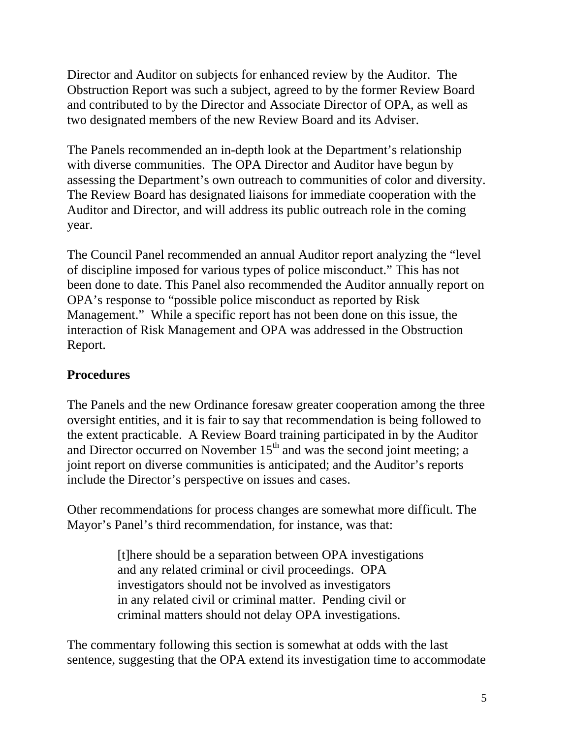Director and Auditor on subjects for enhanced review by the Auditor. The Obstruction Report was such a subject, agreed to by the former Review Board and contributed to by the Director and Associate Director of OPA, as well as two designated members of the new Review Board and its Adviser.

The Panels recommended an in-depth look at the Department's relationship with diverse communities. The OPA Director and Auditor have begun by assessing the Department's own outreach to communities of color and diversity. The Review Board has designated liaisons for immediate cooperation with the Auditor and Director, and will address its public outreach role in the coming year.

The Council Panel recommended an annual Auditor report analyzing the "level of discipline imposed for various types of police misconduct." This has not been done to date. This Panel also recommended the Auditor annually report on OPA's response to "possible police misconduct as reported by Risk Management." While a specific report has not been done on this issue, the interaction of Risk Management and OPA was addressed in the Obstruction Report.

# **Procedures**

The Panels and the new Ordinance foresaw greater cooperation among the three oversight entities, and it is fair to say that recommendation is being followed to the extent practicable. A Review Board training participated in by the Auditor and Director occurred on November  $15<sup>th</sup>$  and was the second joint meeting; a joint report on diverse communities is anticipated; and the Auditor's reports include the Director's perspective on issues and cases.

Other recommendations for process changes are somewhat more difficult. The Mayor's Panel's third recommendation, for instance, was that:

> [t]here should be a separation between OPA investigations and any related criminal or civil proceedings. OPA investigators should not be involved as investigators in any related civil or criminal matter. Pending civil or criminal matters should not delay OPA investigations.

The commentary following this section is somewhat at odds with the last sentence, suggesting that the OPA extend its investigation time to accommodate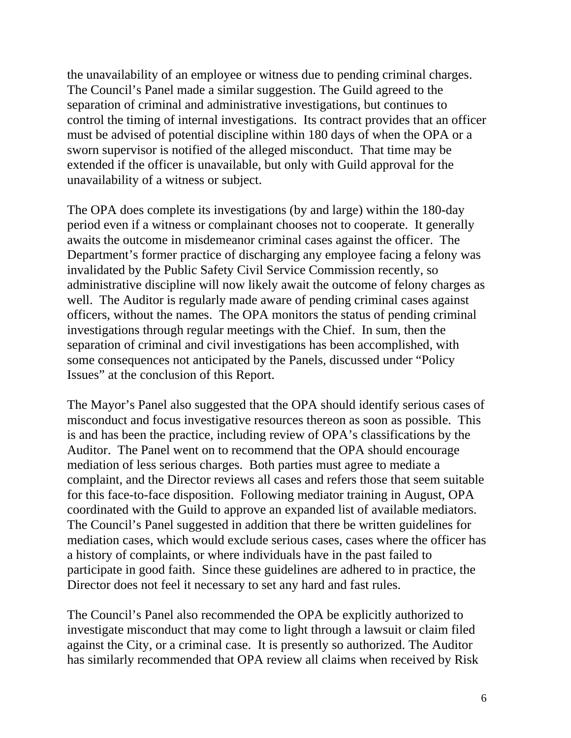the unavailability of an employee or witness due to pending criminal charges. The Council's Panel made a similar suggestion. The Guild agreed to the separation of criminal and administrative investigations, but continues to control the timing of internal investigations. Its contract provides that an officer must be advised of potential discipline within 180 days of when the OPA or a sworn supervisor is notified of the alleged misconduct. That time may be extended if the officer is unavailable, but only with Guild approval for the unavailability of a witness or subject.

The OPA does complete its investigations (by and large) within the 180-day period even if a witness or complainant chooses not to cooperate. It generally awaits the outcome in misdemeanor criminal cases against the officer. The Department's former practice of discharging any employee facing a felony was invalidated by the Public Safety Civil Service Commission recently, so administrative discipline will now likely await the outcome of felony charges as well. The Auditor is regularly made aware of pending criminal cases against officers, without the names. The OPA monitors the status of pending criminal investigations through regular meetings with the Chief. In sum, then the separation of criminal and civil investigations has been accomplished, with some consequences not anticipated by the Panels, discussed under "Policy Issues" at the conclusion of this Report.

The Mayor's Panel also suggested that the OPA should identify serious cases of misconduct and focus investigative resources thereon as soon as possible. This is and has been the practice, including review of OPA's classifications by the Auditor. The Panel went on to recommend that the OPA should encourage mediation of less serious charges. Both parties must agree to mediate a complaint, and the Director reviews all cases and refers those that seem suitable for this face-to-face disposition. Following mediator training in August, OPA coordinated with the Guild to approve an expanded list of available mediators. The Council's Panel suggested in addition that there be written guidelines for mediation cases, which would exclude serious cases, cases where the officer has a history of complaints, or where individuals have in the past failed to participate in good faith. Since these guidelines are adhered to in practice, the Director does not feel it necessary to set any hard and fast rules.

The Council's Panel also recommended the OPA be explicitly authorized to investigate misconduct that may come to light through a lawsuit or claim filed against the City, or a criminal case. It is presently so authorized. The Auditor has similarly recommended that OPA review all claims when received by Risk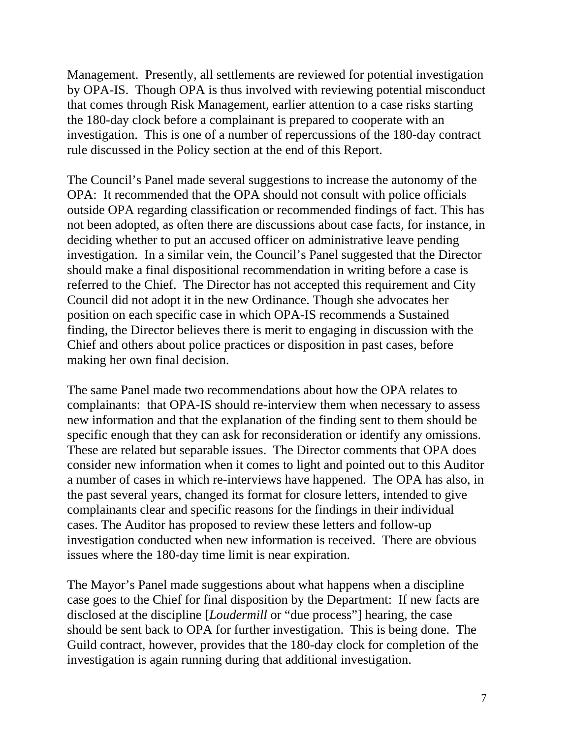Management. Presently, all settlements are reviewed for potential investigation by OPA-IS. Though OPA is thus involved with reviewing potential misconduct that comes through Risk Management, earlier attention to a case risks starting the 180-day clock before a complainant is prepared to cooperate with an investigation. This is one of a number of repercussions of the 180-day contract rule discussed in the Policy section at the end of this Report.

The Council's Panel made several suggestions to increase the autonomy of the OPA: It recommended that the OPA should not consult with police officials outside OPA regarding classification or recommended findings of fact. This has not been adopted, as often there are discussions about case facts, for instance, in deciding whether to put an accused officer on administrative leave pending investigation. In a similar vein, the Council's Panel suggested that the Director should make a final dispositional recommendation in writing before a case is referred to the Chief. The Director has not accepted this requirement and City Council did not adopt it in the new Ordinance. Though she advocates her position on each specific case in which OPA-IS recommends a Sustained finding, the Director believes there is merit to engaging in discussion with the Chief and others about police practices or disposition in past cases, before making her own final decision.

The same Panel made two recommendations about how the OPA relates to complainants: that OPA-IS should re-interview them when necessary to assess new information and that the explanation of the finding sent to them should be specific enough that they can ask for reconsideration or identify any omissions. These are related but separable issues. The Director comments that OPA does consider new information when it comes to light and pointed out to this Auditor a number of cases in which re-interviews have happened. The OPA has also, in the past several years, changed its format for closure letters, intended to give complainants clear and specific reasons for the findings in their individual cases. The Auditor has proposed to review these letters and follow-up investigation conducted when new information is received. There are obvious issues where the 180-day time limit is near expiration.

The Mayor's Panel made suggestions about what happens when a discipline case goes to the Chief for final disposition by the Department: If new facts are disclosed at the discipline [*Loudermill* or "due process"] hearing, the case should be sent back to OPA for further investigation. This is being done. The Guild contract, however, provides that the 180-day clock for completion of the investigation is again running during that additional investigation.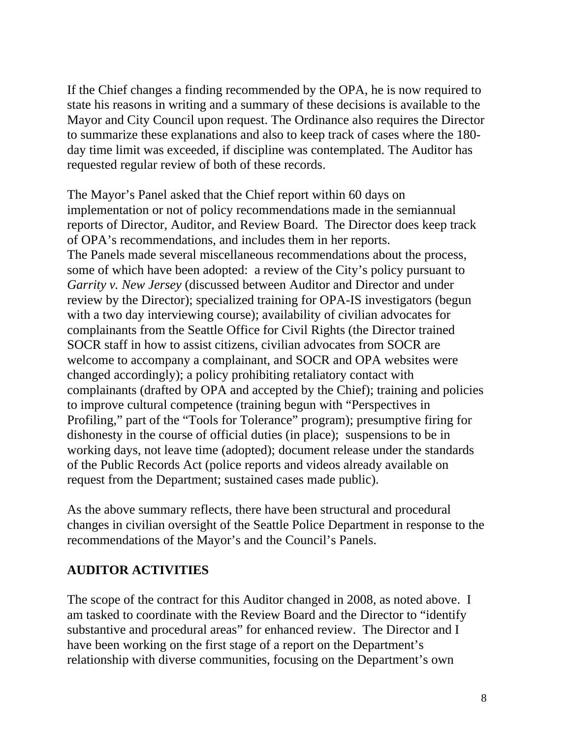If the Chief changes a finding recommended by the OPA, he is now required to state his reasons in writing and a summary of these decisions is available to the Mayor and City Council upon request. The Ordinance also requires the Director to summarize these explanations and also to keep track of cases where the 180 day time limit was exceeded, if discipline was contemplated. The Auditor has requested regular review of both of these records.

The Mayor's Panel asked that the Chief report within 60 days on implementation or not of policy recommendations made in the semiannual reports of Director, Auditor, and Review Board. The Director does keep track of OPA's recommendations, and includes them in her reports. The Panels made several miscellaneous recommendations about the process, some of which have been adopted: a review of the City's policy pursuant to *Garrity v. New Jersey* (discussed between Auditor and Director and under review by the Director); specialized training for OPA-IS investigators (begun with a two day interviewing course); availability of civilian advocates for complainants from the Seattle Office for Civil Rights (the Director trained SOCR staff in how to assist citizens, civilian advocates from SOCR are welcome to accompany a complainant, and SOCR and OPA websites were changed accordingly); a policy prohibiting retaliatory contact with complainants (drafted by OPA and accepted by the Chief); training and policies to improve cultural competence (training begun with "Perspectives in Profiling," part of the "Tools for Tolerance" program); presumptive firing for dishonesty in the course of official duties (in place); suspensions to be in working days, not leave time (adopted); document release under the standards of the Public Records Act (police reports and videos already available on request from the Department; sustained cases made public).

As the above summary reflects, there have been structural and procedural changes in civilian oversight of the Seattle Police Department in response to the recommendations of the Mayor's and the Council's Panels.

## **AUDITOR ACTIVITIES**

The scope of the contract for this Auditor changed in 2008, as noted above. I am tasked to coordinate with the Review Board and the Director to "identify substantive and procedural areas" for enhanced review. The Director and I have been working on the first stage of a report on the Department's relationship with diverse communities, focusing on the Department's own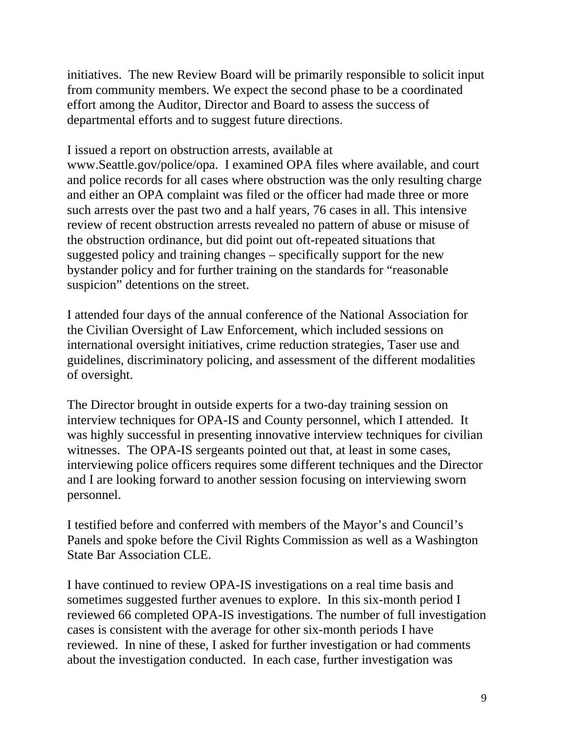initiatives. The new Review Board will be primarily responsible to solicit input from community members. We expect the second phase to be a coordinated effort among the Auditor, Director and Board to assess the success of departmental efforts and to suggest future directions.

I issued a report on obstruction arrests, available at

www.Seattle.gov/police/opa. I examined OPA files where available, and court and police records for all cases where obstruction was the only resulting charge and either an OPA complaint was filed or the officer had made three or more such arrests over the past two and a half years, 76 cases in all. This intensive review of recent obstruction arrests revealed no pattern of abuse or misuse of the obstruction ordinance, but did point out oft-repeated situations that suggested policy and training changes – specifically support for the new bystander policy and for further training on the standards for "reasonable suspicion" detentions on the street.

I attended four days of the annual conference of the National Association for the Civilian Oversight of Law Enforcement, which included sessions on international oversight initiatives, crime reduction strategies, Taser use and guidelines, discriminatory policing, and assessment of the different modalities of oversight.

The Director brought in outside experts for a two-day training session on interview techniques for OPA-IS and County personnel, which I attended. It was highly successful in presenting innovative interview techniques for civilian witnesses. The OPA-IS sergeants pointed out that, at least in some cases, interviewing police officers requires some different techniques and the Director and I are looking forward to another session focusing on interviewing sworn personnel.

I testified before and conferred with members of the Mayor's and Council's Panels and spoke before the Civil Rights Commission as well as a Washington State Bar Association CLE.

I have continued to review OPA-IS investigations on a real time basis and sometimes suggested further avenues to explore. In this six-month period I reviewed 66 completed OPA-IS investigations. The number of full investigation cases is consistent with the average for other six-month periods I have reviewed. In nine of these, I asked for further investigation or had comments about the investigation conducted. In each case, further investigation was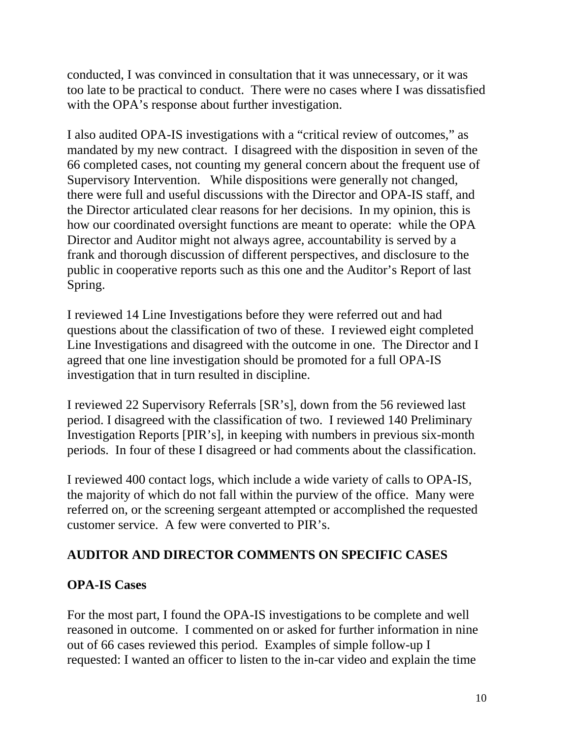conducted, I was convinced in consultation that it was unnecessary, or it was too late to be practical to conduct. There were no cases where I was dissatisfied with the OPA's response about further investigation.

I also audited OPA-IS investigations with a "critical review of outcomes," as mandated by my new contract. I disagreed with the disposition in seven of the 66 completed cases, not counting my general concern about the frequent use of Supervisory Intervention. While dispositions were generally not changed, there were full and useful discussions with the Director and OPA-IS staff, and the Director articulated clear reasons for her decisions. In my opinion, this is how our coordinated oversight functions are meant to operate: while the OPA Director and Auditor might not always agree, accountability is served by a frank and thorough discussion of different perspectives, and disclosure to the public in cooperative reports such as this one and the Auditor's Report of last Spring.

I reviewed 14 Line Investigations before they were referred out and had questions about the classification of two of these. I reviewed eight completed Line Investigations and disagreed with the outcome in one. The Director and I agreed that one line investigation should be promoted for a full OPA-IS investigation that in turn resulted in discipline.

I reviewed 22 Supervisory Referrals [SR's], down from the 56 reviewed last period. I disagreed with the classification of two. I reviewed 140 Preliminary Investigation Reports [PIR's], in keeping with numbers in previous six-month periods. In four of these I disagreed or had comments about the classification.

I reviewed 400 contact logs, which include a wide variety of calls to OPA-IS, the majority of which do not fall within the purview of the office. Many were referred on, or the screening sergeant attempted or accomplished the requested customer service. A few were converted to PIR's.

## **AUDITOR AND DIRECTOR COMMENTS ON SPECIFIC CASES**

## **OPA-IS Cases**

For the most part, I found the OPA-IS investigations to be complete and well reasoned in outcome. I commented on or asked for further information in nine out of 66 cases reviewed this period. Examples of simple follow-up I requested: I wanted an officer to listen to the in-car video and explain the time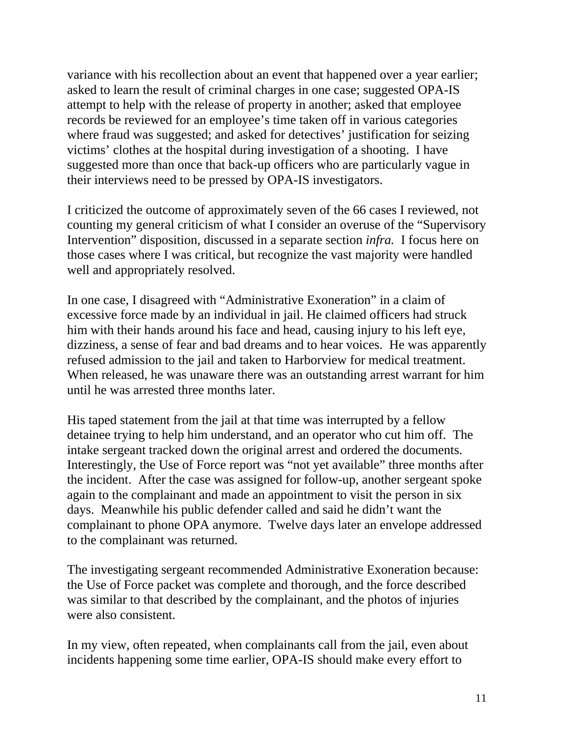variance with his recollection about an event that happened over a year earlier; asked to learn the result of criminal charges in one case; suggested OPA-IS attempt to help with the release of property in another; asked that employee records be reviewed for an employee's time taken off in various categories where fraud was suggested; and asked for detectives' justification for seizing victims' clothes at the hospital during investigation of a shooting. I have suggested more than once that back-up officers who are particularly vague in their interviews need to be pressed by OPA-IS investigators.

I criticized the outcome of approximately seven of the 66 cases I reviewed, not counting my general criticism of what I consider an overuse of the "Supervisory Intervention" disposition, discussed in a separate section *infra.* I focus here on those cases where I was critical, but recognize the vast majority were handled well and appropriately resolved.

In one case, I disagreed with "Administrative Exoneration" in a claim of excessive force made by an individual in jail. He claimed officers had struck him with their hands around his face and head, causing injury to his left eye, dizziness, a sense of fear and bad dreams and to hear voices. He was apparently refused admission to the jail and taken to Harborview for medical treatment. When released, he was unaware there was an outstanding arrest warrant for him until he was arrested three months later.

His taped statement from the jail at that time was interrupted by a fellow detainee trying to help him understand, and an operator who cut him off. The intake sergeant tracked down the original arrest and ordered the documents. Interestingly, the Use of Force report was "not yet available" three months after the incident. After the case was assigned for follow-up, another sergeant spoke again to the complainant and made an appointment to visit the person in six days. Meanwhile his public defender called and said he didn't want the complainant to phone OPA anymore. Twelve days later an envelope addressed to the complainant was returned.

The investigating sergeant recommended Administrative Exoneration because: the Use of Force packet was complete and thorough, and the force described was similar to that described by the complainant, and the photos of injuries were also consistent.

In my view, often repeated, when complainants call from the jail, even about incidents happening some time earlier, OPA-IS should make every effort to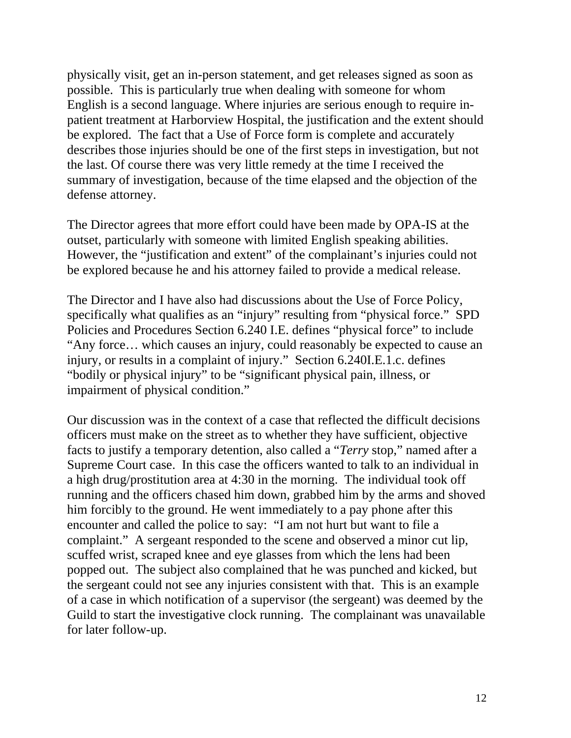physically visit, get an in-person statement, and get releases signed as soon as possible. This is particularly true when dealing with someone for whom English is a second language. Where injuries are serious enough to require inpatient treatment at Harborview Hospital, the justification and the extent should be explored. The fact that a Use of Force form is complete and accurately describes those injuries should be one of the first steps in investigation, but not the last. Of course there was very little remedy at the time I received the summary of investigation, because of the time elapsed and the objection of the defense attorney.

The Director agrees that more effort could have been made by OPA-IS at the outset, particularly with someone with limited English speaking abilities. However, the "justification and extent" of the complainant's injuries could not be explored because he and his attorney failed to provide a medical release.

The Director and I have also had discussions about the Use of Force Policy, specifically what qualifies as an "injury" resulting from "physical force." SPD Policies and Procedures Section 6.240 I.E. defines "physical force" to include "Any force… which causes an injury, could reasonably be expected to cause an injury, or results in a complaint of injury." Section 6.240I.E.1.c. defines "bodily or physical injury" to be "significant physical pain, illness, or impairment of physical condition."

Our discussion was in the context of a case that reflected the difficult decisions officers must make on the street as to whether they have sufficient, objective facts to justify a temporary detention, also called a "*Terry* stop," named after a Supreme Court case. In this case the officers wanted to talk to an individual in a high drug/prostitution area at 4:30 in the morning. The individual took off running and the officers chased him down, grabbed him by the arms and shoved him forcibly to the ground. He went immediately to a pay phone after this encounter and called the police to say: "I am not hurt but want to file a complaint." A sergeant responded to the scene and observed a minor cut lip, scuffed wrist, scraped knee and eye glasses from which the lens had been popped out. The subject also complained that he was punched and kicked, but the sergeant could not see any injuries consistent with that. This is an example of a case in which notification of a supervisor (the sergeant) was deemed by the Guild to start the investigative clock running. The complainant was unavailable for later follow-up.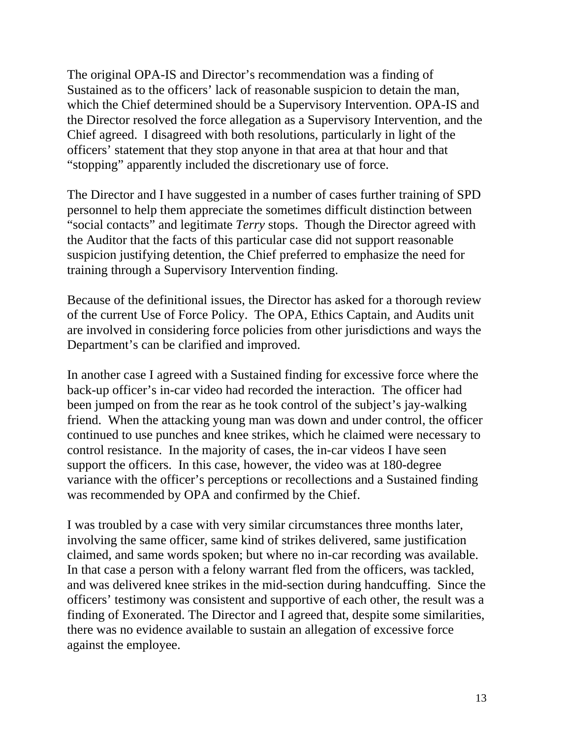The original OPA-IS and Director's recommendation was a finding of Sustained as to the officers' lack of reasonable suspicion to detain the man, which the Chief determined should be a Supervisory Intervention. OPA-IS and the Director resolved the force allegation as a Supervisory Intervention, and the Chief agreed. I disagreed with both resolutions, particularly in light of the officers' statement that they stop anyone in that area at that hour and that "stopping" apparently included the discretionary use of force.

The Director and I have suggested in a number of cases further training of SPD personnel to help them appreciate the sometimes difficult distinction between "social contacts" and legitimate *Terry* stops. Though the Director agreed with the Auditor that the facts of this particular case did not support reasonable suspicion justifying detention, the Chief preferred to emphasize the need for training through a Supervisory Intervention finding.

Because of the definitional issues, the Director has asked for a thorough review of the current Use of Force Policy. The OPA, Ethics Captain, and Audits unit are involved in considering force policies from other jurisdictions and ways the Department's can be clarified and improved.

In another case I agreed with a Sustained finding for excessive force where the back-up officer's in-car video had recorded the interaction. The officer had been jumped on from the rear as he took control of the subject's jay-walking friend. When the attacking young man was down and under control, the officer continued to use punches and knee strikes, which he claimed were necessary to control resistance. In the majority of cases, the in-car videos I have seen support the officers. In this case, however, the video was at 180-degree variance with the officer's perceptions or recollections and a Sustained finding was recommended by OPA and confirmed by the Chief.

I was troubled by a case with very similar circumstances three months later, involving the same officer, same kind of strikes delivered, same justification claimed, and same words spoken; but where no in-car recording was available. In that case a person with a felony warrant fled from the officers, was tackled, and was delivered knee strikes in the mid-section during handcuffing. Since the officers' testimony was consistent and supportive of each other, the result was a finding of Exonerated. The Director and I agreed that, despite some similarities, there was no evidence available to sustain an allegation of excessive force against the employee.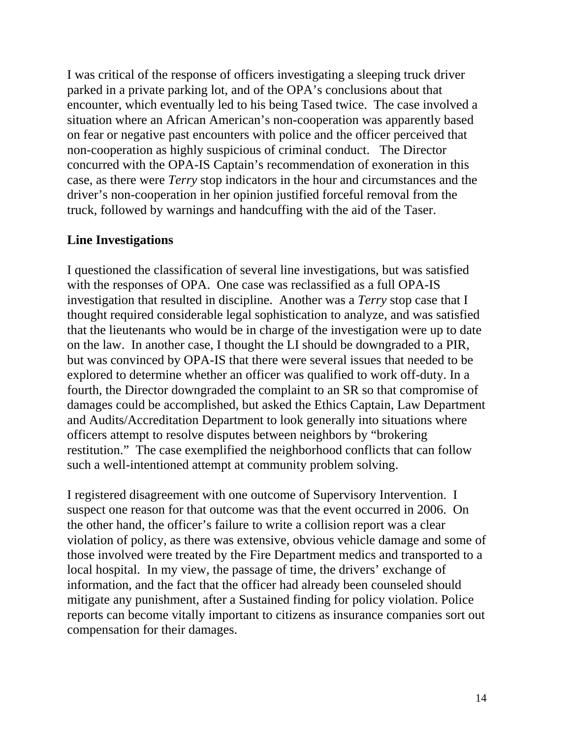I was critical of the response of officers investigating a sleeping truck driver parked in a private parking lot, and of the OPA's conclusions about that encounter, which eventually led to his being Tased twice. The case involved a situation where an African American's non-cooperation was apparently based on fear or negative past encounters with police and the officer perceived that non-cooperation as highly suspicious of criminal conduct. The Director concurred with the OPA-IS Captain's recommendation of exoneration in this case, as there were *Terry* stop indicators in the hour and circumstances and the driver's non-cooperation in her opinion justified forceful removal from the truck, followed by warnings and handcuffing with the aid of the Taser.

#### **Line Investigations**

I questioned the classification of several line investigations, but was satisfied with the responses of OPA. One case was reclassified as a full OPA-IS investigation that resulted in discipline. Another was a *Terry* stop case that I thought required considerable legal sophistication to analyze, and was satisfied that the lieutenants who would be in charge of the investigation were up to date on the law. In another case, I thought the LI should be downgraded to a PIR, but was convinced by OPA-IS that there were several issues that needed to be explored to determine whether an officer was qualified to work off-duty. In a fourth, the Director downgraded the complaint to an SR so that compromise of damages could be accomplished, but asked the Ethics Captain, Law Department and Audits/Accreditation Department to look generally into situations where officers attempt to resolve disputes between neighbors by "brokering restitution." The case exemplified the neighborhood conflicts that can follow such a well-intentioned attempt at community problem solving.

I registered disagreement with one outcome of Supervisory Intervention. I suspect one reason for that outcome was that the event occurred in 2006. On the other hand, the officer's failure to write a collision report was a clear violation of policy, as there was extensive, obvious vehicle damage and some of those involved were treated by the Fire Department medics and transported to a local hospital. In my view, the passage of time, the drivers' exchange of information, and the fact that the officer had already been counseled should mitigate any punishment, after a Sustained finding for policy violation. Police reports can become vitally important to citizens as insurance companies sort out compensation for their damages.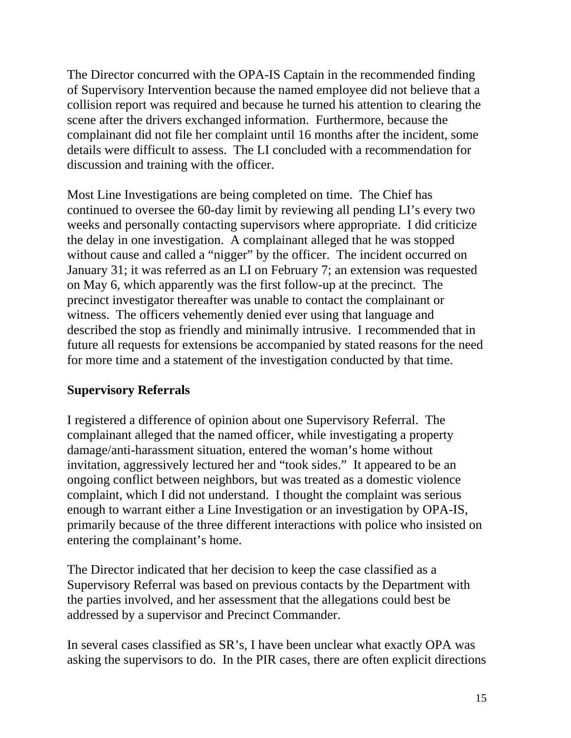The Director concurred with the OPA-IS Captain in the recommended finding of Supervisory Intervention because the named employee did not believe that a collision report was required and because he turned his attention to clearing the scene after the drivers exchanged information. Furthermore, because the complainant did not file her complaint until 16 months after the incident, some details were difficult to assess. The LI concluded with a recommendation for discussion and training with the officer.

Most Line Investigations are being completed on time. The Chief has continued to oversee the 60-day limit by reviewing all pending LI's every two weeks and personally contacting supervisors where appropriate. I did criticize the delay in one investigation. A complainant alleged that he was stopped without cause and called a "nigger" by the officer. The incident occurred on January 31; it was referred as an LI on February 7; an extension was requested on May 6, which apparently was the first follow-up at the precinct. The precinct investigator thereafter was unable to contact the complainant or witness. The officers vehemently denied ever using that language and described the stop as friendly and minimally intrusive. I recommended that in future all requests for extensions be accompanied by stated reasons for the need for more time and a statement of the investigation conducted by that time.

## **Supervisory Referrals**

I registered a difference of opinion about one Supervisory Referral. The complainant alleged that the named officer, while investigating a property damage/anti-harassment situation, entered the woman's home without invitation, aggressively lectured her and "took sides." It appeared to be an ongoing conflict between neighbors, but was treated as a domestic violence complaint, which I did not understand. I thought the complaint was serious enough to warrant either a Line Investigation or an investigation by OPA-IS, primarily because of the three different interactions with police who insisted on entering the complainant's home.

The Director indicated that her decision to keep the case classified as a Supervisory Referral was based on previous contacts by the Department with the parties involved, and her assessment that the allegations could best be addressed by a supervisor and Precinct Commander.

In several cases classified as SR's, I have been unclear what exactly OPA was asking the supervisors to do. In the PIR cases, there are often explicit directions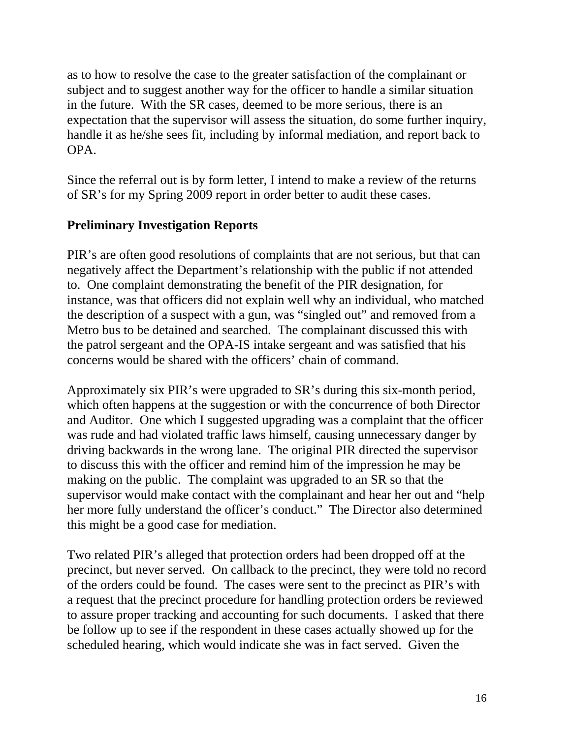as to how to resolve the case to the greater satisfaction of the complainant or subject and to suggest another way for the officer to handle a similar situation in the future. With the SR cases, deemed to be more serious, there is an expectation that the supervisor will assess the situation, do some further inquiry, handle it as he/she sees fit, including by informal mediation, and report back to OPA.

Since the referral out is by form letter, I intend to make a review of the returns of SR's for my Spring 2009 report in order better to audit these cases.

# **Preliminary Investigation Reports**

PIR's are often good resolutions of complaints that are not serious, but that can negatively affect the Department's relationship with the public if not attended to. One complaint demonstrating the benefit of the PIR designation, for instance, was that officers did not explain well why an individual, who matched the description of a suspect with a gun, was "singled out" and removed from a Metro bus to be detained and searched. The complainant discussed this with the patrol sergeant and the OPA-IS intake sergeant and was satisfied that his concerns would be shared with the officers' chain of command.

Approximately six PIR's were upgraded to SR's during this six-month period, which often happens at the suggestion or with the concurrence of both Director and Auditor. One which I suggested upgrading was a complaint that the officer was rude and had violated traffic laws himself, causing unnecessary danger by driving backwards in the wrong lane. The original PIR directed the supervisor to discuss this with the officer and remind him of the impression he may be making on the public. The complaint was upgraded to an SR so that the supervisor would make contact with the complainant and hear her out and "help her more fully understand the officer's conduct." The Director also determined this might be a good case for mediation.

Two related PIR's alleged that protection orders had been dropped off at the precinct, but never served. On callback to the precinct, they were told no record of the orders could be found. The cases were sent to the precinct as PIR's with a request that the precinct procedure for handling protection orders be reviewed to assure proper tracking and accounting for such documents. I asked that there be follow up to see if the respondent in these cases actually showed up for the scheduled hearing, which would indicate she was in fact served. Given the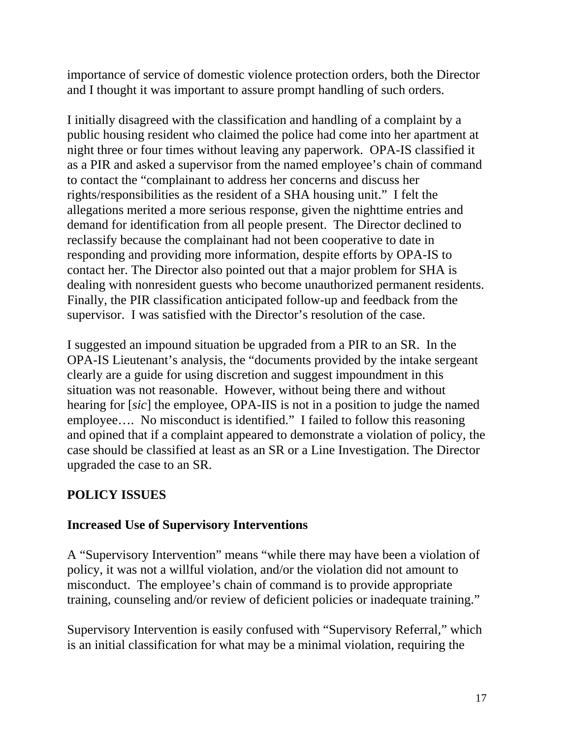importance of service of domestic violence protection orders, both the Director and I thought it was important to assure prompt handling of such orders.

I initially disagreed with the classification and handling of a complaint by a public housing resident who claimed the police had come into her apartment at night three or four times without leaving any paperwork. OPA-IS classified it as a PIR and asked a supervisor from the named employee's chain of command to contact the "complainant to address her concerns and discuss her rights/responsibilities as the resident of a SHA housing unit." I felt the allegations merited a more serious response, given the nighttime entries and demand for identification from all people present. The Director declined to reclassify because the complainant had not been cooperative to date in responding and providing more information, despite efforts by OPA-IS to contact her. The Director also pointed out that a major problem for SHA is dealing with nonresident guests who become unauthorized permanent residents. Finally, the PIR classification anticipated follow-up and feedback from the supervisor. I was satisfied with the Director's resolution of the case.

I suggested an impound situation be upgraded from a PIR to an SR. In the OPA-IS Lieutenant's analysis, the "documents provided by the intake sergeant clearly are a guide for using discretion and suggest impoundment in this situation was not reasonable. However, without being there and without hearing for [*sic*] the employee, OPA-IIS is not in a position to judge the named employee…. No misconduct is identified." I failed to follow this reasoning and opined that if a complaint appeared to demonstrate a violation of policy, the case should be classified at least as an SR or a Line Investigation. The Director upgraded the case to an SR.

## **POLICY ISSUES**

## **Increased Use of Supervisory Interventions**

A "Supervisory Intervention" means "while there may have been a violation of policy, it was not a willful violation, and/or the violation did not amount to misconduct. The employee's chain of command is to provide appropriate training, counseling and/or review of deficient policies or inadequate training."

Supervisory Intervention is easily confused with "Supervisory Referral," which is an initial classification for what may be a minimal violation, requiring the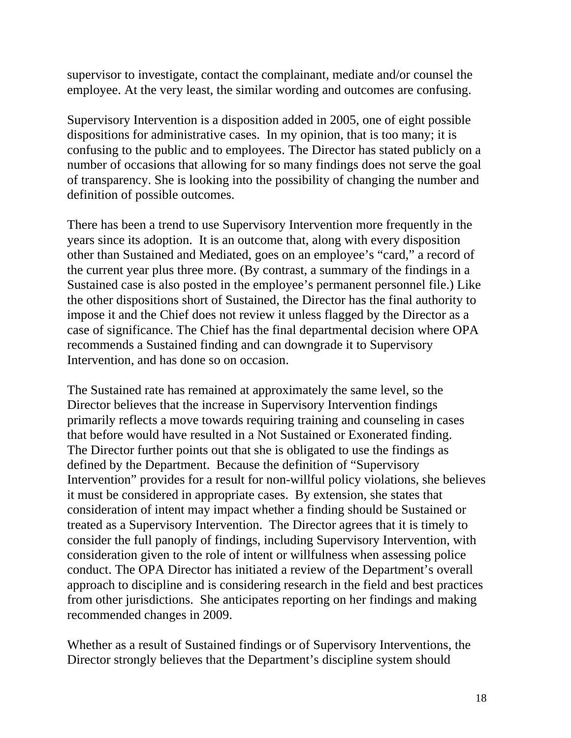supervisor to investigate, contact the complainant, mediate and/or counsel the employee. At the very least, the similar wording and outcomes are confusing.

Supervisory Intervention is a disposition added in 2005, one of eight possible dispositions for administrative cases. In my opinion, that is too many; it is confusing to the public and to employees. The Director has stated publicly on a number of occasions that allowing for so many findings does not serve the goal of transparency. She is looking into the possibility of changing the number and definition of possible outcomes.

There has been a trend to use Supervisory Intervention more frequently in the years since its adoption. It is an outcome that, along with every disposition other than Sustained and Mediated, goes on an employee's "card," a record of the current year plus three more. (By contrast, a summary of the findings in a Sustained case is also posted in the employee's permanent personnel file.) Like the other dispositions short of Sustained, the Director has the final authority to impose it and the Chief does not review it unless flagged by the Director as a case of significance. The Chief has the final departmental decision where OPA recommends a Sustained finding and can downgrade it to Supervisory Intervention, and has done so on occasion.

The Sustained rate has remained at approximately the same level, so the Director believes that the increase in Supervisory Intervention findings primarily reflects a move towards requiring training and counseling in cases that before would have resulted in a Not Sustained or Exonerated finding. The Director further points out that she is obligated to use the findings as defined by the Department. Because the definition of "Supervisory Intervention" provides for a result for non-willful policy violations, she believes it must be considered in appropriate cases. By extension, she states that consideration of intent may impact whether a finding should be Sustained or treated as a Supervisory Intervention. The Director agrees that it is timely to consider the full panoply of findings, including Supervisory Intervention, with consideration given to the role of intent or willfulness when assessing police conduct. The OPA Director has initiated a review of the Department's overall approach to discipline and is considering research in the field and best practices from other jurisdictions. She anticipates reporting on her findings and making recommended changes in 2009.

Whether as a result of Sustained findings or of Supervisory Interventions, the Director strongly believes that the Department's discipline system should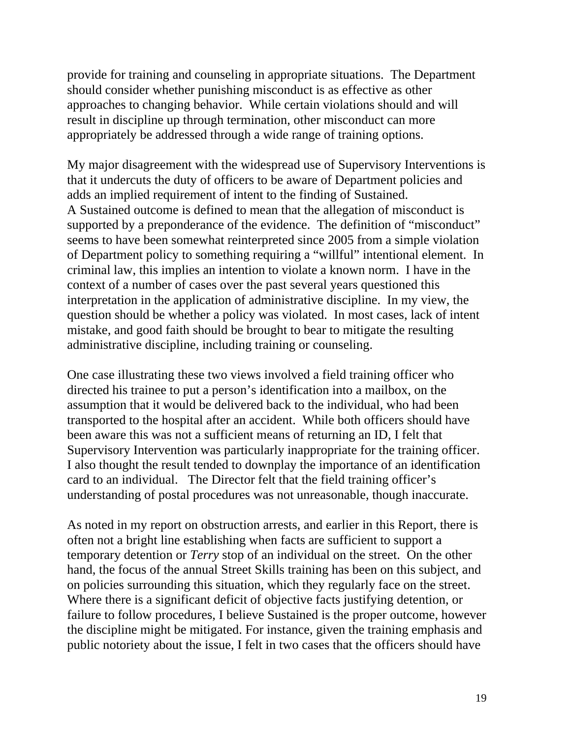provide for training and counseling in appropriate situations. The Department should consider whether punishing misconduct is as effective as other approaches to changing behavior. While certain violations should and will result in discipline up through termination, other misconduct can more appropriately be addressed through a wide range of training options.

My major disagreement with the widespread use of Supervisory Interventions is that it undercuts the duty of officers to be aware of Department policies and adds an implied requirement of intent to the finding of Sustained. A Sustained outcome is defined to mean that the allegation of misconduct is supported by a preponderance of the evidence. The definition of "misconduct" seems to have been somewhat reinterpreted since 2005 from a simple violation of Department policy to something requiring a "willful" intentional element. In criminal law, this implies an intention to violate a known norm. I have in the context of a number of cases over the past several years questioned this interpretation in the application of administrative discipline. In my view, the question should be whether a policy was violated. In most cases, lack of intent mistake, and good faith should be brought to bear to mitigate the resulting administrative discipline, including training or counseling.

One case illustrating these two views involved a field training officer who directed his trainee to put a person's identification into a mailbox, on the assumption that it would be delivered back to the individual, who had been transported to the hospital after an accident. While both officers should have been aware this was not a sufficient means of returning an ID, I felt that Supervisory Intervention was particularly inappropriate for the training officer. I also thought the result tended to downplay the importance of an identification card to an individual. The Director felt that the field training officer's understanding of postal procedures was not unreasonable, though inaccurate.

As noted in my report on obstruction arrests, and earlier in this Report, there is often not a bright line establishing when facts are sufficient to support a temporary detention or *Terry* stop of an individual on the street. On the other hand, the focus of the annual Street Skills training has been on this subject, and on policies surrounding this situation, which they regularly face on the street. Where there is a significant deficit of objective facts justifying detention, or failure to follow procedures, I believe Sustained is the proper outcome, however the discipline might be mitigated. For instance, given the training emphasis and public notoriety about the issue, I felt in two cases that the officers should have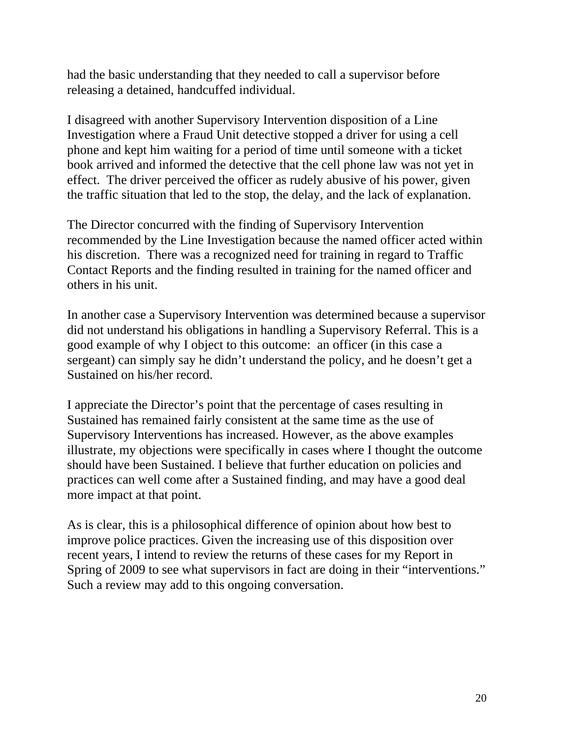had the basic understanding that they needed to call a supervisor before releasing a detained, handcuffed individual.

I disagreed with another Supervisory Intervention disposition of a Line Investigation where a Fraud Unit detective stopped a driver for using a cell phone and kept him waiting for a period of time until someone with a ticket book arrived and informed the detective that the cell phone law was not yet in effect. The driver perceived the officer as rudely abusive of his power, given the traffic situation that led to the stop, the delay, and the lack of explanation.

The Director concurred with the finding of Supervisory Intervention recommended by the Line Investigation because the named officer acted within his discretion. There was a recognized need for training in regard to Traffic Contact Reports and the finding resulted in training for the named officer and others in his unit.

In another case a Supervisory Intervention was determined because a supervisor did not understand his obligations in handling a Supervisory Referral. This is a good example of why I object to this outcome: an officer (in this case a sergeant) can simply say he didn't understand the policy, and he doesn't get a Sustained on his/her record.

I appreciate the Director's point that the percentage of cases resulting in Sustained has remained fairly consistent at the same time as the use of Supervisory Interventions has increased. However, as the above examples illustrate, my objections were specifically in cases where I thought the outcome should have been Sustained. I believe that further education on policies and practices can well come after a Sustained finding, and may have a good deal more impact at that point.

As is clear, this is a philosophical difference of opinion about how best to improve police practices. Given the increasing use of this disposition over recent years, I intend to review the returns of these cases for my Report in Spring of 2009 to see what supervisors in fact are doing in their "interventions." Such a review may add to this ongoing conversation.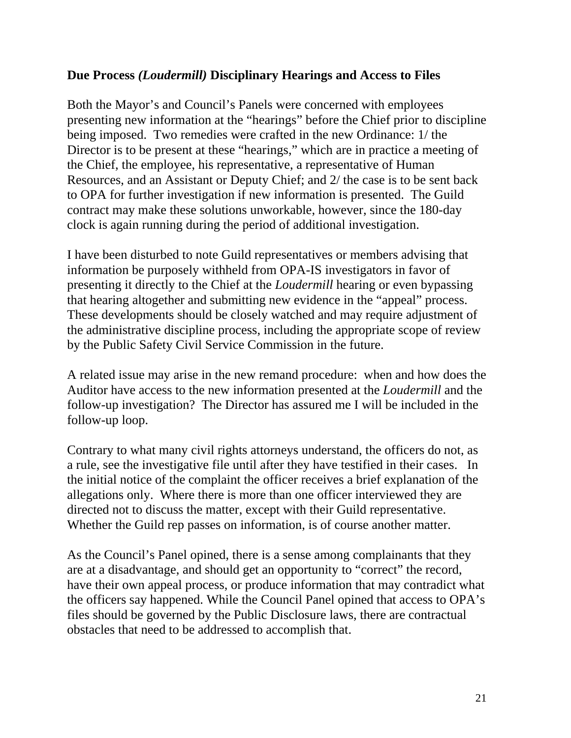#### **Due Process** *(Loudermill)* **Disciplinary Hearings and Access to Files**

Both the Mayor's and Council's Panels were concerned with employees presenting new information at the "hearings" before the Chief prior to discipline being imposed. Two remedies were crafted in the new Ordinance: 1/ the Director is to be present at these "hearings," which are in practice a meeting of the Chief, the employee, his representative, a representative of Human Resources, and an Assistant or Deputy Chief; and 2/ the case is to be sent back to OPA for further investigation if new information is presented. The Guild contract may make these solutions unworkable, however, since the 180-day clock is again running during the period of additional investigation.

I have been disturbed to note Guild representatives or members advising that information be purposely withheld from OPA-IS investigators in favor of presenting it directly to the Chief at the *Loudermill* hearing or even bypassing that hearing altogether and submitting new evidence in the "appeal" process. These developments should be closely watched and may require adjustment of the administrative discipline process, including the appropriate scope of review by the Public Safety Civil Service Commission in the future.

A related issue may arise in the new remand procedure: when and how does the Auditor have access to the new information presented at the *Loudermill* and the follow-up investigation? The Director has assured me I will be included in the follow-up loop.

Contrary to what many civil rights attorneys understand, the officers do not, as a rule, see the investigative file until after they have testified in their cases. In the initial notice of the complaint the officer receives a brief explanation of the allegations only. Where there is more than one officer interviewed they are directed not to discuss the matter, except with their Guild representative. Whether the Guild rep passes on information, is of course another matter.

As the Council's Panel opined, there is a sense among complainants that they are at a disadvantage, and should get an opportunity to "correct" the record, have their own appeal process, or produce information that may contradict what the officers say happened. While the Council Panel opined that access to OPA's files should be governed by the Public Disclosure laws, there are contractual obstacles that need to be addressed to accomplish that.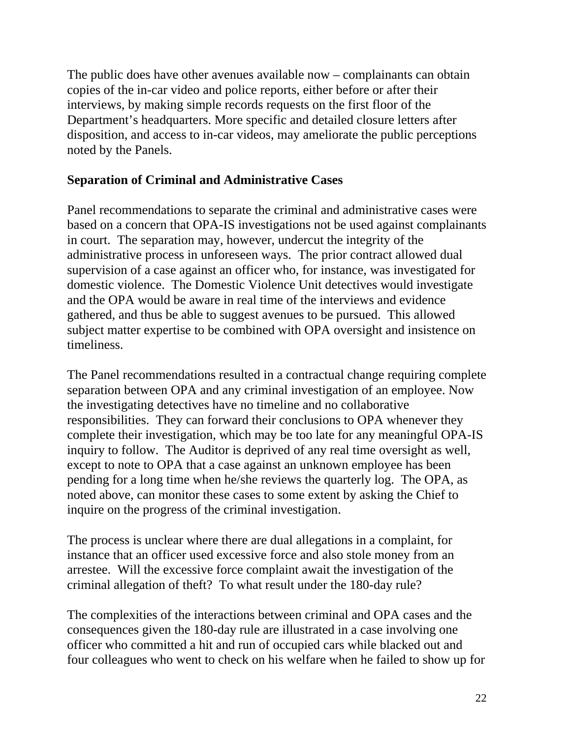The public does have other avenues available now – complainants can obtain copies of the in-car video and police reports, either before or after their interviews, by making simple records requests on the first floor of the Department's headquarters. More specific and detailed closure letters after disposition, and access to in-car videos, may ameliorate the public perceptions noted by the Panels.

### **Separation of Criminal and Administrative Cases**

Panel recommendations to separate the criminal and administrative cases were based on a concern that OPA-IS investigations not be used against complainants in court. The separation may, however, undercut the integrity of the administrative process in unforeseen ways. The prior contract allowed dual supervision of a case against an officer who, for instance, was investigated for domestic violence. The Domestic Violence Unit detectives would investigate and the OPA would be aware in real time of the interviews and evidence gathered, and thus be able to suggest avenues to be pursued. This allowed subject matter expertise to be combined with OPA oversight and insistence on timeliness.

The Panel recommendations resulted in a contractual change requiring complete separation between OPA and any criminal investigation of an employee. Now the investigating detectives have no timeline and no collaborative responsibilities. They can forward their conclusions to OPA whenever they complete their investigation, which may be too late for any meaningful OPA-IS inquiry to follow. The Auditor is deprived of any real time oversight as well, except to note to OPA that a case against an unknown employee has been pending for a long time when he/she reviews the quarterly log. The OPA, as noted above, can monitor these cases to some extent by asking the Chief to inquire on the progress of the criminal investigation.

The process is unclear where there are dual allegations in a complaint, for instance that an officer used excessive force and also stole money from an arrestee. Will the excessive force complaint await the investigation of the criminal allegation of theft? To what result under the 180-day rule?

The complexities of the interactions between criminal and OPA cases and the consequences given the 180-day rule are illustrated in a case involving one officer who committed a hit and run of occupied cars while blacked out and four colleagues who went to check on his welfare when he failed to show up for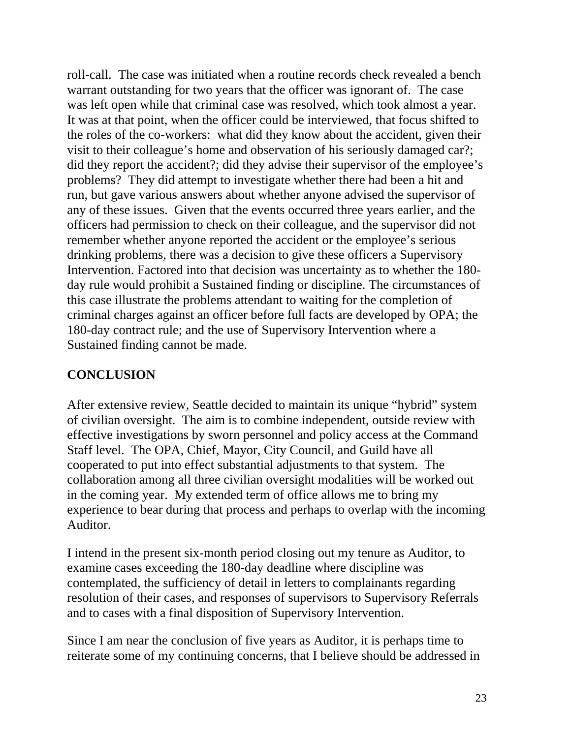roll-call. The case was initiated when a routine records check revealed a bench warrant outstanding for two years that the officer was ignorant of. The case was left open while that criminal case was resolved, which took almost a year. It was at that point, when the officer could be interviewed, that focus shifted to the roles of the co-workers: what did they know about the accident, given their visit to their colleague's home and observation of his seriously damaged car?; did they report the accident?; did they advise their supervisor of the employee's problems? They did attempt to investigate whether there had been a hit and run, but gave various answers about whether anyone advised the supervisor of any of these issues. Given that the events occurred three years earlier, and the officers had permission to check on their colleague, and the supervisor did not remember whether anyone reported the accident or the employee's serious drinking problems, there was a decision to give these officers a Supervisory Intervention. Factored into that decision was uncertainty as to whether the 180 day rule would prohibit a Sustained finding or discipline. The circumstances of this case illustrate the problems attendant to waiting for the completion of criminal charges against an officer before full facts are developed by OPA; the 180-day contract rule; and the use of Supervisory Intervention where a Sustained finding cannot be made.

## **CONCLUSION**

After extensive review, Seattle decided to maintain its unique "hybrid" system of civilian oversight. The aim is to combine independent, outside review with effective investigations by sworn personnel and policy access at the Command Staff level. The OPA, Chief, Mayor, City Council, and Guild have all cooperated to put into effect substantial adjustments to that system. The collaboration among all three civilian oversight modalities will be worked out in the coming year. My extended term of office allows me to bring my experience to bear during that process and perhaps to overlap with the incoming Auditor.

I intend in the present six-month period closing out my tenure as Auditor, to examine cases exceeding the 180-day deadline where discipline was contemplated, the sufficiency of detail in letters to complainants regarding resolution of their cases, and responses of supervisors to Supervisory Referrals and to cases with a final disposition of Supervisory Intervention.

Since I am near the conclusion of five years as Auditor, it is perhaps time to reiterate some of my continuing concerns, that I believe should be addressed in